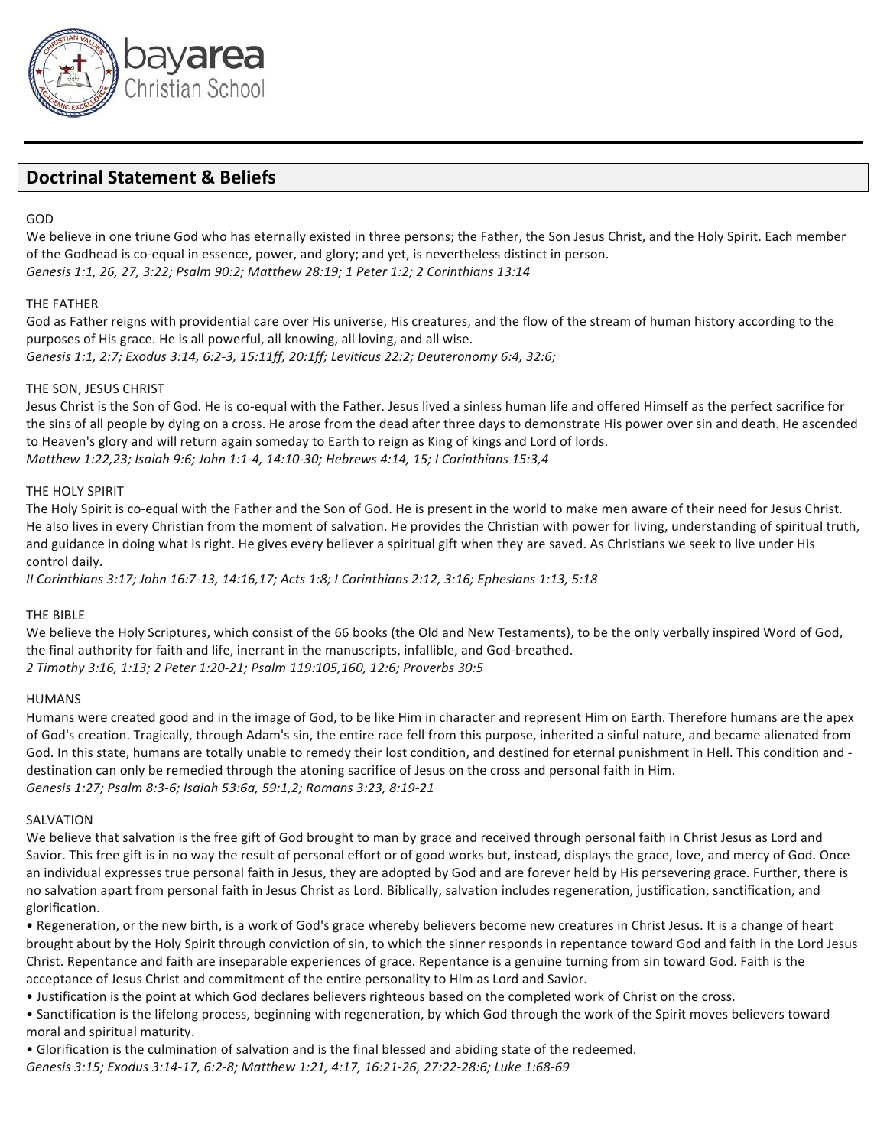

## **Doctrinal Statement & Beliefs**

## GOD

We believe in one triune God who has eternally existed in three persons; the Father, the Son Jesus Christ, and the Holy Spirit. Each member of the Godhead is co-equal in essence, power, and glory; and yet, is nevertheless distinct in person. Genesis 1:1, 26, 27, 3:22; Psalm 90:2; Matthew 28:19; 1 Peter 1:2; 2 Corinthians 13:14

#### THF FATHFR

God as Father reigns with providential care over His universe, His creatures, and the flow of the stream of human history according to the purposes of His grace. He is all powerful, all knowing, all loving, and all wise. Genesis 1:1, 2:7; Exodus 3:14, 6:2-3, 15:11ff, 20:1ff; Leviticus 22:2; Deuteronomy 6:4, 32:6;

## THE SON, JESUS CHRIST

Jesus Christ is the Son of God. He is co-equal with the Father. Jesus lived a sinless human life and offered Himself as the perfect sacrifice for the sins of all people by dying on a cross. He arose from the dead after three days to demonstrate His power over sin and death. He ascended to Heaven's glory and will return again someday to Earth to reign as King of kings and Lord of lords. *Matthew 1:22,23; Isaiah 9:6; John 1:1-4, 14:10-30; Hebrews 4:14, 15; I Corinthians 15:3,4* 

#### THE HOLY SPIRIT

The Holy Spirit is co-equal with the Father and the Son of God. He is present in the world to make men aware of their need for Jesus Christ. He also lives in every Christian from the moment of salvation. He provides the Christian with power for living, understanding of spiritual truth, and guidance in doing what is right. He gives every believer a spiritual gift when they are saved. As Christians we seek to live under His control daily.

*II Corinthians 3:17; John 16:7-13, 14:16,17; Acts 1:8; I Corinthians 2:12, 3:16; Ephesians 1:13, 5:18*

#### THE BIBLE

We believe the Holy Scriptures, which consist of the 66 books (the Old and New Testaments), to be the only verbally inspired Word of God, the final authority for faith and life, inerrant in the manuscripts, infallible, and God-breathed. *2 Timothy 3:16, 1:13; 2 Peter 1:20-21; Psalm 119:105,160, 12:6; Proverbs 30:5*

#### HUMANS

Humans were created good and in the image of God, to be like Him in character and represent Him on Earth. Therefore humans are the apex of God's creation. Tragically, through Adam's sin, the entire race fell from this purpose, inherited a sinful nature, and became alienated from God. In this state, humans are totally unable to remedy their lost condition, and destined for eternal punishment in Hell. This condition and destination can only be remedied through the atoning sacrifice of Jesus on the cross and personal faith in Him. *Genesis 1:27; Psalm 8:3-6; Isaiah 53:6a, 59:1,2; Romans 3:23, 8:19-21*

#### SALVATION

We believe that salvation is the free gift of God brought to man by grace and received through personal faith in Christ Jesus as Lord and Savior. This free gift is in no way the result of personal effort or of good works but, instead, displays the grace, love, and mercy of God. Once an individual expresses true personal faith in Jesus, they are adopted by God and are forever held by His persevering grace. Further, there is no salvation apart from personal faith in Jesus Christ as Lord. Biblically, salvation includes regeneration, justification, sanctification, and glorification.

• Regeneration, or the new birth, is a work of God's grace whereby believers become new creatures in Christ Jesus. It is a change of heart brought about by the Holy Spirit through conviction of sin, to which the sinner responds in repentance toward God and faith in the Lord Jesus Christ. Repentance and faith are inseparable experiences of grace. Repentance is a genuine turning from sin toward God. Faith is the acceptance of Jesus Christ and commitment of the entire personality to Him as Lord and Savior.

• Justification is the point at which God declares believers righteous based on the completed work of Christ on the cross.

• Sanctification is the lifelong process, beginning with regeneration, by which God through the work of the Spirit moves believers toward moral and spiritual maturity.

• Glorification is the culmination of salvation and is the final blessed and abiding state of the redeemed. Genesis 3:15; Exodus 3:14-17, 6:2-8; Matthew 1:21, 4:17, 16:21-26, 27:22-28:6; Luke 1:68-69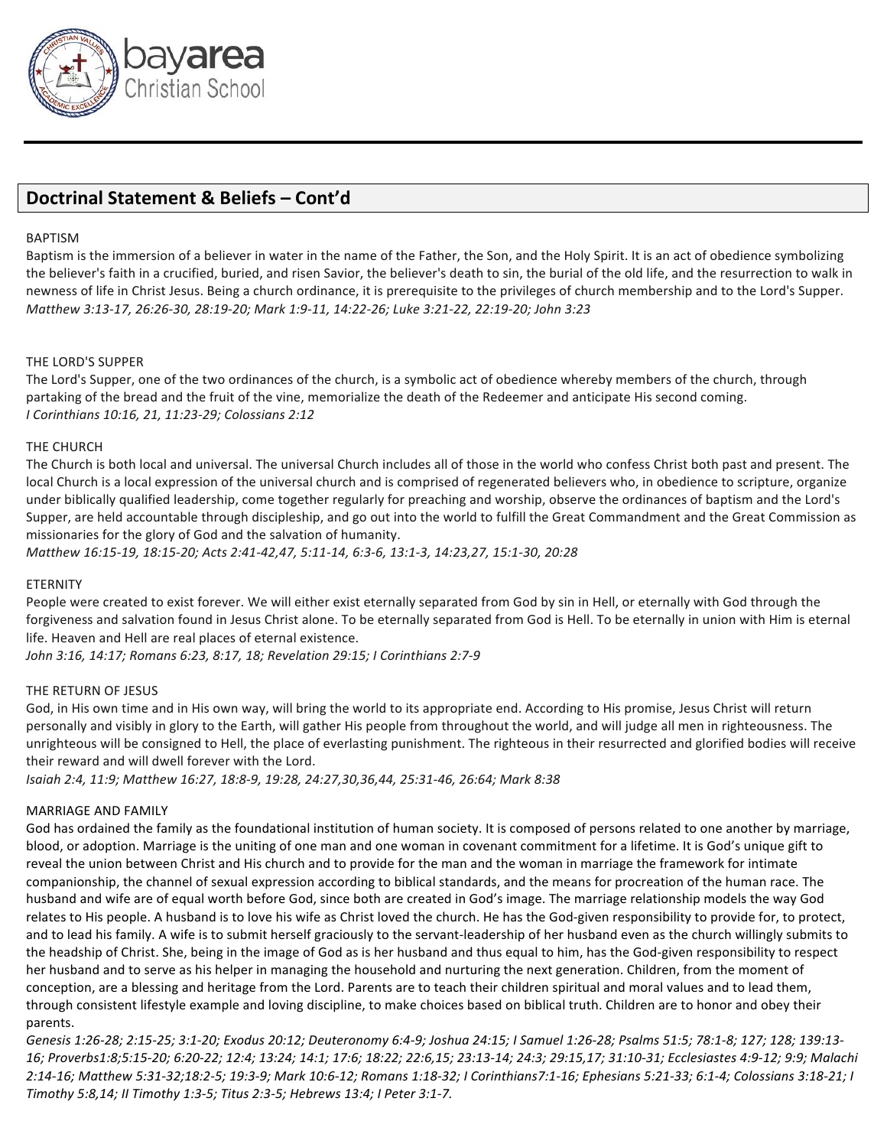

# **Doctrinal Statement & Beliefs – Cont'd**

## BAPTISM

Baptism is the immersion of a believer in water in the name of the Father, the Son, and the Holy Spirit. It is an act of obedience symbolizing the believer's faith in a crucified, buried, and risen Savior, the believer's death to sin, the burial of the old life, and the resurrection to walk in newness of life in Christ Jesus. Being a church ordinance, it is prerequisite to the privileges of church membership and to the Lord's Supper. *Matthew 3:13-17, 26:26-30, 28:19-20; Mark 1:9-11, 14:22-26; Luke 3:21-22, 22:19-20; John 3:23*

## THE LORD'S SUPPER

The Lord's Supper, one of the two ordinances of the church, is a symbolic act of obedience whereby members of the church, through partaking of the bread and the fruit of the vine, memorialize the death of the Redeemer and anticipate His second coming. *I Corinthians 10:16, 21, 11:23-29; Colossians 2:12*

#### THE CHURCH

The Church is both local and universal. The universal Church includes all of those in the world who confess Christ both past and present. The local Church is a local expression of the universal church and is comprised of regenerated believers who, in obedience to scripture, organize under biblically qualified leadership, come together regularly for preaching and worship, observe the ordinances of baptism and the Lord's Supper, are held accountable through discipleship, and go out into the world to fulfill the Great Commandment and the Great Commission as missionaries for the glory of God and the salvation of humanity.

*Matthew 16:15-19, 18:15-20; Acts 2:41-42,47, 5:11-14, 6:3-6, 13:1-3, 14:23,27, 15:1-30, 20:28*

#### ETERNITY

People were created to exist forever. We will either exist eternally separated from God by sin in Hell, or eternally with God through the forgiveness and salvation found in Jesus Christ alone. To be eternally separated from God is Hell. To be eternally in union with Him is eternal life. Heaven and Hell are real places of eternal existence.

*John 3:16, 14:17; Romans 6:23, 8:17, 18; Revelation 29:15; I Corinthians 2:7-9*

## THE RETURN OF JESUS

God, in His own time and in His own way, will bring the world to its appropriate end. According to His promise, Jesus Christ will return personally and visibly in glory to the Earth, will gather His people from throughout the world, and will judge all men in righteousness. The unrighteous will be consigned to Hell, the place of everlasting punishment. The righteous in their resurrected and glorified bodies will receive their reward and will dwell forever with the Lord.

*Isaiah 2:4, 11:9; Matthew 16:27, 18:8-9, 19:28, 24:27,30,36,44, 25:31-46, 26:64; Mark 8:38*

## MARRIAGE AND FAMILY

God has ordained the family as the foundational institution of human society. It is composed of persons related to one another by marriage, blood, or adoption. Marriage is the uniting of one man and one woman in covenant commitment for a lifetime. It is God's unique gift to reveal the union between Christ and His church and to provide for the man and the woman in marriage the framework for intimate companionship, the channel of sexual expression according to biblical standards, and the means for procreation of the human race. The husband and wife are of equal worth before God, since both are created in God's image. The marriage relationship models the way God relates to His people. A husband is to love his wife as Christ loved the church. He has the God-given responsibility to provide for, to protect, and to lead his family. A wife is to submit herself graciously to the servant-leadership of her husband even as the church willingly submits to the headship of Christ. She, being in the image of God as is her husband and thus equal to him, has the God-given responsibility to respect her husband and to serve as his helper in managing the household and nurturing the next generation. Children, from the moment of conception, are a blessing and heritage from the Lord. Parents are to teach their children spiritual and moral values and to lead them, through consistent lifestyle example and loving discipline, to make choices based on biblical truth. Children are to honor and obey their parents.

Genesis 1:26-28; 2:15-25; 3:1-20; Exodus 20:12; Deuteronomy 6:4-9; Joshua 24:15; I Samuel 1:26-28; Psalms 51:5; 78:1-8; 127; 128; 139:13-*16; Proverbs1:8;5:15-20; 6:20-22; 12:4; 13:24; 14:1; 17:6; 18:22; 22:6,15; 23:13-14; 24:3; 29:15,17; 31:10-31; Ecclesiastes 4:9-12; 9:9; Malachi 2:14-16; Matthew 5:31-32;18:2-5; 19:3-9; Mark 10:6-12; Romans 1:18-32; I Corinthians7:1-16; Ephesians 5:21-33; 6:1-4; Colossians 3:18-21; I Timothy 5:8,14; II Timothy 1:3-5; Titus 2:3-5; Hebrews 13:4; I Peter 3:1-7.*